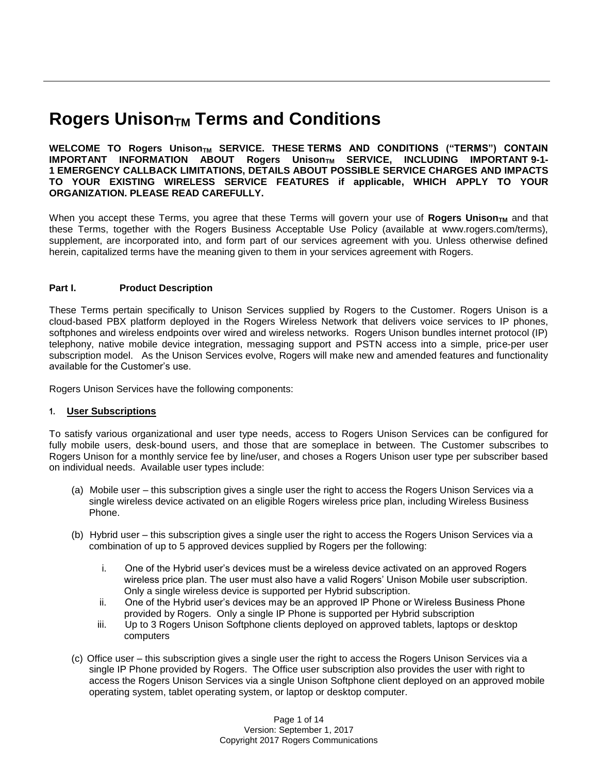# **Rogers Unison<sub>TM</sub>** Terms and Conditions

**WELCOME TO Rogers UnisonTM SERVICE. THESE TERMS AND CONDITIONS ("TERMS") CONTAIN IMPORTANT INFORMATION ABOUT Rogers Unison<sub>TM</sub> SERVICE, INCLUDING IMPORTANT 9-1-1 EMERGENCY CALLBACK LIMITATIONS, DETAILS ABOUT POSSIBLE SERVICE CHARGES AND IMPACTS TO YOUR EXISTING WIRELESS SERVICE FEATURES if applicable, WHICH APPLY TO YOUR ORGANIZATION. PLEASE READ CAREFULLY.** 

When you accept these Terms, you agree that these Terms will govern your use of **Rogers Unison**<sub>TM</sub> and that these Terms, together with the Rogers Business Acceptable Use Policy (available at www.rogers.com/terms), supplement, are incorporated into, and form part of our services agreement with you. Unless otherwise defined herein, capitalized terms have the meaning given to them in your services agreement with Rogers.

# **Part I. Product Description**

These Terms pertain specifically to Unison Services supplied by Rogers to the Customer. Rogers Unison is a cloud-based PBX platform deployed in the Rogers Wireless Network that delivers voice services to IP phones, softphones and wireless endpoints over wired and wireless networks. Rogers Unison bundles internet protocol (IP) telephony, native mobile device integration, messaging support and PSTN access into a simple, price-per user subscription model. As the Unison Services evolve, Rogers will make new and amended features and functionality available for the Customer's use.

Rogers Unison Services have the following components:

# **1. User Subscriptions**

To satisfy various organizational and user type needs, access to Rogers Unison Services can be configured for fully mobile users, desk-bound users, and those that are someplace in between. The Customer subscribes to Rogers Unison for a monthly service fee by line/user, and choses a Rogers Unison user type per subscriber based on individual needs. Available user types include:

- (a) Mobile user this subscription gives a single user the right to access the Rogers Unison Services via a single wireless device activated on an eligible Rogers wireless price plan, including Wireless Business Phone.
- (b) Hybrid user this subscription gives a single user the right to access the Rogers Unison Services via a combination of up to 5 approved devices supplied by Rogers per the following:
	- i. One of the Hybrid user's devices must be a wireless device activated on an approved Rogers wireless price plan. The user must also have a valid Rogers' Unison Mobile user subscription. Only a single wireless device is supported per Hybrid subscription.
	- ii. One of the Hybrid user's devices may be an approved IP Phone or Wireless Business Phone provided by Rogers. Only a single IP Phone is supported per Hybrid subscription
	- iii. Up to 3 Rogers Unison Softphone clients deployed on approved tablets, laptops or desktop computers
- (c) Office user this subscription gives a single user the right to access the Rogers Unison Services via a single IP Phone provided by Rogers. The Office user subscription also provides the user with right to access the Rogers Unison Services via a single Unison Softphone client deployed on an approved mobile operating system, tablet operating system, or laptop or desktop computer.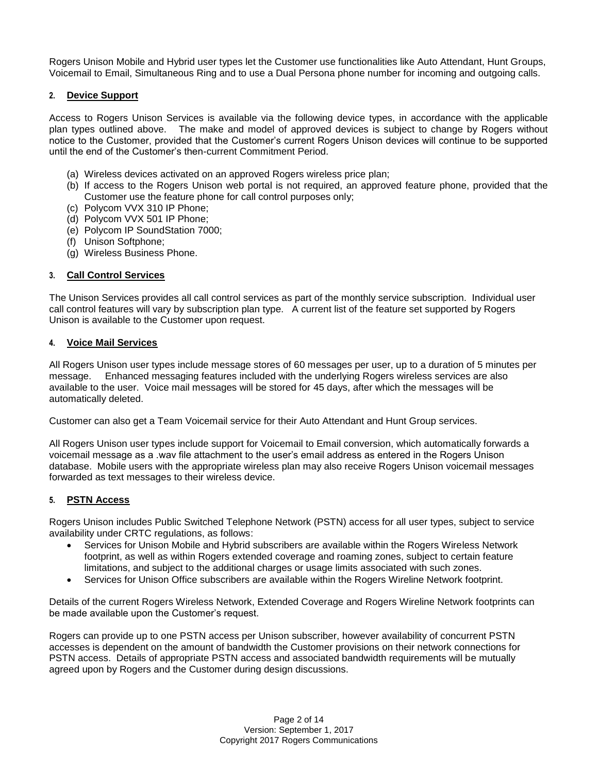Rogers Unison Mobile and Hybrid user types let the Customer use functionalities like Auto Attendant, Hunt Groups, Voicemail to Email, Simultaneous Ring and to use a Dual Persona phone number for incoming and outgoing calls.

# **2. Device Support**

Access to Rogers Unison Services is available via the following device types, in accordance with the applicable plan types outlined above. The make and model of approved devices is subject to change by Rogers without notice to the Customer, provided that the Customer's current Rogers Unison devices will continue to be supported until the end of the Customer's then-current Commitment Period.

- (a) Wireless devices activated on an approved Rogers wireless price plan;
- (b) If access to the Rogers Unison web portal is not required, an approved feature phone, provided that the Customer use the feature phone for call control purposes only;
- (c) Polycom VVX 310 IP Phone;
- (d) Polycom VVX 501 IP Phone;
- (e) Polycom IP SoundStation 7000;
- (f) Unison Softphone;
- (g) Wireless Business Phone.

# **3. Call Control Services**

The Unison Services provides all call control services as part of the monthly service subscription. Individual user call control features will vary by subscription plan type. A current list of the feature set supported by Rogers Unison is available to the Customer upon request.

# **4. Voice Mail Services**

All Rogers Unison user types include message stores of 60 messages per user, up to a duration of 5 minutes per message. Enhanced messaging features included with the underlying Rogers wireless services are also available to the user. Voice mail messages will be stored for 45 days, after which the messages will be automatically deleted.

Customer can also get a Team Voicemail service for their Auto Attendant and Hunt Group services.

All Rogers Unison user types include support for Voicemail to Email conversion, which automatically forwards a voicemail message as a .wav file attachment to the user's email address as entered in the Rogers Unison database. Mobile users with the appropriate wireless plan may also receive Rogers Unison voicemail messages forwarded as text messages to their wireless device.

# **5. PSTN Access**

Rogers Unison includes Public Switched Telephone Network (PSTN) access for all user types, subject to service availability under CRTC regulations, as follows:

- Services for Unison Mobile and Hybrid subscribers are available within the Rogers Wireless Network footprint, as well as within Rogers extended coverage and roaming zones, subject to certain feature limitations, and subject to the additional charges or usage limits associated with such zones.
- Services for Unison Office subscribers are available within the Rogers Wireline Network footprint.

Details of the current Rogers Wireless Network, Extended Coverage and Rogers Wireline Network footprints can be made available upon the Customer's request.

Rogers can provide up to one PSTN access per Unison subscriber, however availability of concurrent PSTN accesses is dependent on the amount of bandwidth the Customer provisions on their network connections for PSTN access. Details of appropriate PSTN access and associated bandwidth requirements will be mutually agreed upon by Rogers and the Customer during design discussions.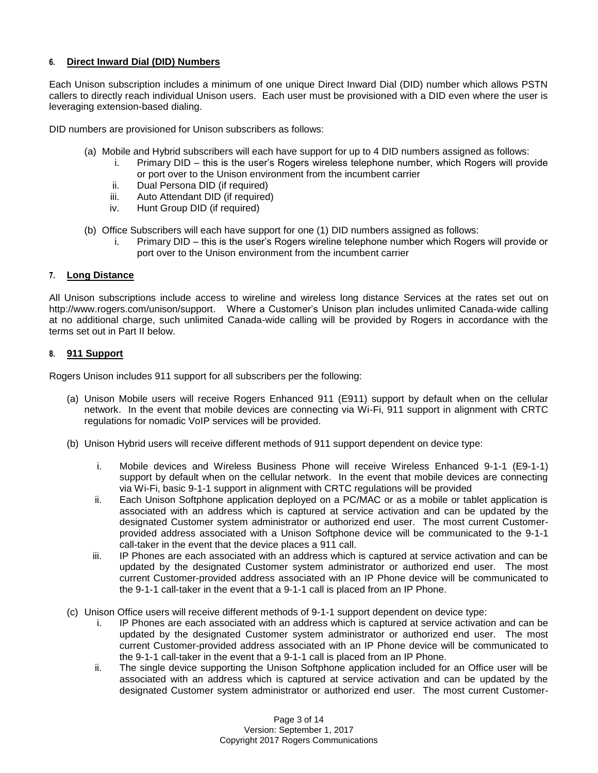# **6. Direct Inward Dial (DID) Numbers**

Each Unison subscription includes a minimum of one unique Direct Inward Dial (DID) number which allows PSTN callers to directly reach individual Unison users. Each user must be provisioned with a DID even where the user is leveraging extension-based dialing.

DID numbers are provisioned for Unison subscribers as follows:

- (a) Mobile and Hybrid subscribers will each have support for up to 4 DID numbers assigned as follows:
	- i. Primary DID this is the user's Rogers wireless telephone number, which Rogers will provide or port over to the Unison environment from the incumbent carrier
	- ii. Dual Persona DID (if required)
	- iii. Auto Attendant DID (if required)
	- iv. Hunt Group DID (if required)
- (b) Office Subscribers will each have support for one (1) DID numbers assigned as follows:
	- i. Primary DID this is the user's Rogers wireline telephone number which Rogers will provide or port over to the Unison environment from the incumbent carrier

## **7. Long Distance**

All Unison subscriptions include access to wireline and wireless long distance Services at the rates set out on http://www.rogers.com/unison/support. Where a Customer's Unison plan includes unlimited Canada-wide calling at no additional charge, such unlimited Canada-wide calling will be provided by Rogers in accordance with the terms set out in Part II below.

# **8. 911 Support**

Rogers Unison includes 911 support for all subscribers per the following:

- (a) Unison Mobile users will receive Rogers Enhanced 911 (E911) support by default when on the cellular network. In the event that mobile devices are connecting via Wi-Fi, 911 support in alignment with CRTC regulations for nomadic VoIP services will be provided.
- (b) Unison Hybrid users will receive different methods of 911 support dependent on device type:
	- i. Mobile devices and Wireless Business Phone will receive Wireless Enhanced 9-1-1 (E9-1-1) support by default when on the cellular network. In the event that mobile devices are connecting via Wi-Fi, basic 9-1-1 support in alignment with CRTC regulations will be provided
	- ii. Each Unison Softphone application deployed on a PC/MAC or as a mobile or tablet application is associated with an address which is captured at service activation and can be updated by the designated Customer system administrator or authorized end user. The most current Customerprovided address associated with a Unison Softphone device will be communicated to the 9-1-1 call-taker in the event that the device places a 911 call.
	- iii. IP Phones are each associated with an address which is captured at service activation and can be updated by the designated Customer system administrator or authorized end user. The most current Customer-provided address associated with an IP Phone device will be communicated to the 9-1-1 call-taker in the event that a 9-1-1 call is placed from an IP Phone.
- (c) Unison Office users will receive different methods of 9-1-1 support dependent on device type:
	- i. IP Phones are each associated with an address which is captured at service activation and can be updated by the designated Customer system administrator or authorized end user. The most current Customer-provided address associated with an IP Phone device will be communicated to the 9-1-1 call-taker in the event that a 9-1-1 call is placed from an IP Phone.
	- ii. The single device supporting the Unison Softphone application included for an Office user will be associated with an address which is captured at service activation and can be updated by the designated Customer system administrator or authorized end user. The most current Customer-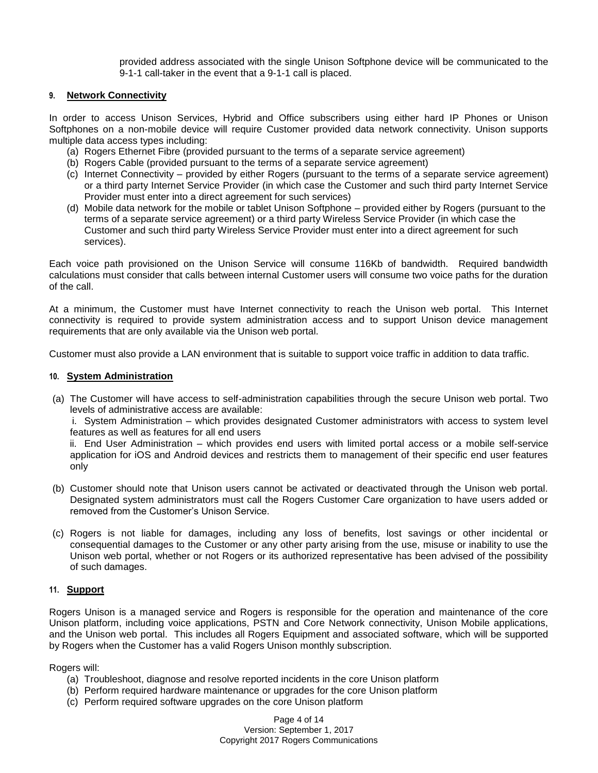provided address associated with the single Unison Softphone device will be communicated to the 9-1-1 call-taker in the event that a 9-1-1 call is placed.

## **9. Network Connectivity**

In order to access Unison Services, Hybrid and Office subscribers using either hard IP Phones or Unison Softphones on a non-mobile device will require Customer provided data network connectivity. Unison supports multiple data access types including:

- (a) Rogers Ethernet Fibre (provided pursuant to the terms of a separate service agreement)
- (b) Rogers Cable (provided pursuant to the terms of a separate service agreement)
- (c) Internet Connectivity provided by either Rogers (pursuant to the terms of a separate service agreement) or a third party Internet Service Provider (in which case the Customer and such third party Internet Service Provider must enter into a direct agreement for such services)
- (d) Mobile data network for the mobile or tablet Unison Softphone provided either by Rogers (pursuant to the terms of a separate service agreement) or a third party Wireless Service Provider (in which case the Customer and such third party Wireless Service Provider must enter into a direct agreement for such services).

Each voice path provisioned on the Unison Service will consume 116Kb of bandwidth. Required bandwidth calculations must consider that calls between internal Customer users will consume two voice paths for the duration of the call.

At a minimum, the Customer must have Internet connectivity to reach the Unison web portal. This Internet connectivity is required to provide system administration access and to support Unison device management requirements that are only available via the Unison web portal.

Customer must also provide a LAN environment that is suitable to support voice traffic in addition to data traffic.

## **10. System Administration**

(a) The Customer will have access to self-administration capabilities through the secure Unison web portal. Two levels of administrative access are available:

i. System Administration – which provides designated Customer administrators with access to system level features as well as features for all end users

ii. End User Administration – which provides end users with limited portal access or a mobile self-service application for iOS and Android devices and restricts them to management of their specific end user features only

- (b) Customer should note that Unison users cannot be activated or deactivated through the Unison web portal. Designated system administrators must call the Rogers Customer Care organization to have users added or removed from the Customer's Unison Service.
- (c) Rogers is not liable for damages, including any loss of benefits, lost savings or other incidental or consequential damages to the Customer or any other party arising from the use, misuse or inability to use the Unison web portal, whether or not Rogers or its authorized representative has been advised of the possibility of such damages.

#### **11. Support**

Rogers Unison is a managed service and Rogers is responsible for the operation and maintenance of the core Unison platform, including voice applications, PSTN and Core Network connectivity, Unison Mobile applications, and the Unison web portal. This includes all Rogers Equipment and associated software, which will be supported by Rogers when the Customer has a valid Rogers Unison monthly subscription.

Rogers will:

- (a) Troubleshoot, diagnose and resolve reported incidents in the core Unison platform
- (b) Perform required hardware maintenance or upgrades for the core Unison platform
- (c) Perform required software upgrades on the core Unison platform

Page 4 of 14 Version: September 1, 2017 Copyright 2017 Rogers Communications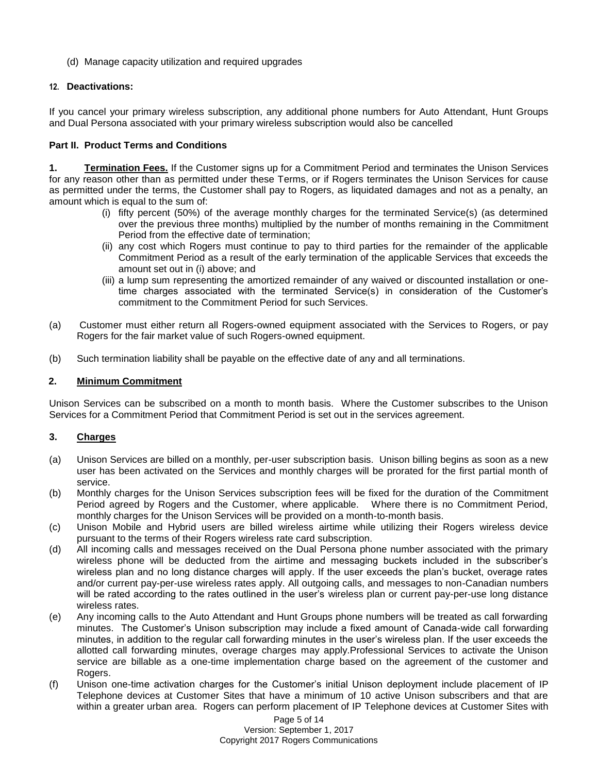(d) Manage capacity utilization and required upgrades

# **12. Deactivations:**

If you cancel your primary wireless subscription, any additional phone numbers for Auto Attendant, Hunt Groups and Dual Persona associated with your primary wireless subscription would also be cancelled

# **Part II. Product Terms and Conditions**

**1. Termination Fees.** If the Customer signs up for a Commitment Period and terminates the Unison Services for any reason other than as permitted under these Terms, or if Rogers terminates the Unison Services for cause as permitted under the terms, the Customer shall pay to Rogers, as liquidated damages and not as a penalty, an amount which is equal to the sum of:

- (i) fifty percent (50%) of the average monthly charges for the terminated Service(s) (as determined over the previous three months) multiplied by the number of months remaining in the Commitment Period from the effective date of termination;
- (ii) any cost which Rogers must continue to pay to third parties for the remainder of the applicable Commitment Period as a result of the early termination of the applicable Services that exceeds the amount set out in (i) above; and
- (iii) a lump sum representing the amortized remainder of any waived or discounted installation or onetime charges associated with the terminated Service(s) in consideration of the Customer's commitment to the Commitment Period for such Services.
- (a) Customer must either return all Rogers-owned equipment associated with the Services to Rogers, or pay Rogers for the fair market value of such Rogers-owned equipment.
- (b) Such termination liability shall be payable on the effective date of any and all terminations.

# **2. Minimum Commitment**

Unison Services can be subscribed on a month to month basis. Where the Customer subscribes to the Unison Services for a Commitment Period that Commitment Period is set out in the services agreement.

# **3. Charges**

- (a) Unison Services are billed on a monthly, per-user subscription basis. Unison billing begins as soon as a new user has been activated on the Services and monthly charges will be prorated for the first partial month of service.
- (b) Monthly charges for the Unison Services subscription fees will be fixed for the duration of the Commitment Period agreed by Rogers and the Customer, where applicable. Where there is no Commitment Period, monthly charges for the Unison Services will be provided on a month-to-month basis.
- (c) Unison Mobile and Hybrid users are billed wireless airtime while utilizing their Rogers wireless device pursuant to the terms of their Rogers wireless rate card subscription.
- (d) All incoming calls and messages received on the Dual Persona phone number associated with the primary wireless phone will be deducted from the airtime and messaging buckets included in the subscriber's wireless plan and no long distance charges will apply. If the user exceeds the plan's bucket, overage rates and/or current pay-per-use wireless rates apply. All outgoing calls, and messages to non-Canadian numbers will be rated according to the rates outlined in the user's wireless plan or current pay-per-use long distance wireless rates.
- (e) Any incoming calls to the Auto Attendant and Hunt Groups phone numbers will be treated as call forwarding minutes. The Customer's Unison subscription may include a fixed amount of Canada-wide call forwarding minutes, in addition to the regular call forwarding minutes in the user's wireless plan. If the user exceeds the allotted call forwarding minutes, overage charges may apply.Professional Services to activate the Unison service are billable as a one-time implementation charge based on the agreement of the customer and Rogers.
- (f) Unison one-time activation charges for the Customer's initial Unison deployment include placement of IP Telephone devices at Customer Sites that have a minimum of 10 active Unison subscribers and that are within a greater urban area. Rogers can perform placement of IP Telephone devices at Customer Sites with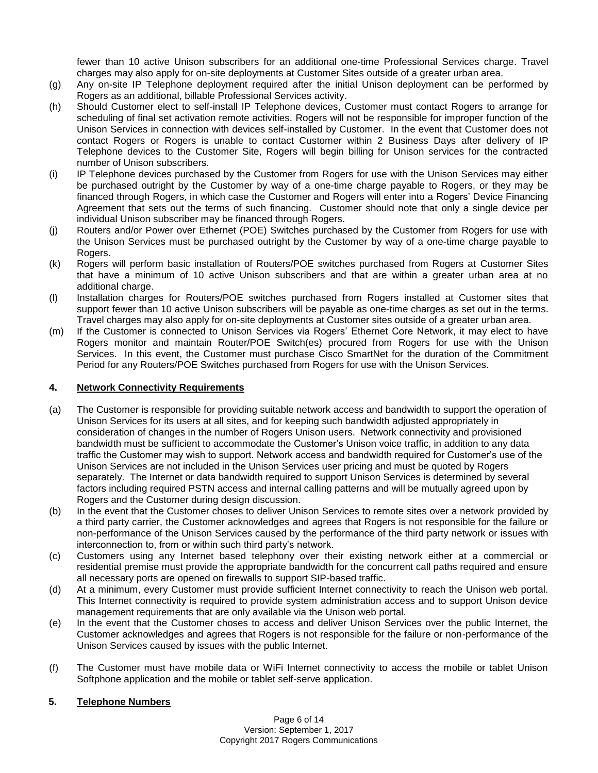fewer than 10 active Unison subscribers for an additional one-time Professional Services charge. Travel charges may also apply for on-site deployments at Customer Sites outside of a greater urban area.

- (g) Any on-site IP Telephone deployment required after the initial Unison deployment can be performed by Rogers as an additional, billable Professional Services activity.
- (h) Should Customer elect to self-install IP Telephone devices, Customer must contact Rogers to arrange for scheduling of final set activation remote activities. Rogers will not be responsible for improper function of the Unison Services in connection with devices self-installed by Customer. In the event that Customer does not contact Rogers or Rogers is unable to contact Customer within 2 Business Days after delivery of IP Telephone devices to the Customer Site, Rogers will begin billing for Unison services for the contracted number of Unison subscribers.
- (i) IP Telephone devices purchased by the Customer from Rogers for use with the Unison Services may either be purchased outright by the Customer by way of a one-time charge payable to Rogers, or they may be financed through Rogers, in which case the Customer and Rogers will enter into a Rogers' Device Financing Agreement that sets out the terms of such financing. Customer should note that only a single device per individual Unison subscriber may be financed through Rogers.
- (j) Routers and/or Power over Ethernet (POE) Switches purchased by the Customer from Rogers for use with the Unison Services must be purchased outright by the Customer by way of a one-time charge payable to Rogers.
- (k) Rogers will perform basic installation of Routers/POE switches purchased from Rogers at Customer Sites that have a minimum of 10 active Unison subscribers and that are within a greater urban area at no additional charge.
- (l) Installation charges for Routers/POE switches purchased from Rogers installed at Customer sites that support fewer than 10 active Unison subscribers will be payable as one-time charges as set out in the terms. Travel charges may also apply for on-site deployments at Customer sites outside of a greater urban area.
- (m) If the Customer is connected to Unison Services via Rogers' Ethernet Core Network, it may elect to have Rogers monitor and maintain Router/POE Switch(es) procured from Rogers for use with the Unison Services. In this event, the Customer must purchase Cisco SmartNet for the duration of the Commitment Period for any Routers/POE Switches purchased from Rogers for use with the Unison Services.

# **4. Network Connectivity Requirements**

- (a) The Customer is responsible for providing suitable network access and bandwidth to support the operation of Unison Services for its users at all sites, and for keeping such bandwidth adjusted appropriately in consideration of changes in the number of Rogers Unison users. Network connectivity and provisioned bandwidth must be sufficient to accommodate the Customer's Unison voice traffic, in addition to any data traffic the Customer may wish to support. Network access and bandwidth required for Customer's use of the Unison Services are not included in the Unison Services user pricing and must be quoted by Rogers separately. The Internet or data bandwidth required to support Unison Services is determined by several factors including required PSTN access and internal calling patterns and will be mutually agreed upon by Rogers and the Customer during design discussion.
- (b) In the event that the Customer choses to deliver Unison Services to remote sites over a network provided by a third party carrier, the Customer acknowledges and agrees that Rogers is not responsible for the failure or non-performance of the Unison Services caused by the performance of the third party network or issues with interconnection to, from or within such third party's network.
- (c) Customers using any Internet based telephony over their existing network either at a commercial or residential premise must provide the appropriate bandwidth for the concurrent call paths required and ensure all necessary ports are opened on firewalls to support SIP-based traffic.
- (d) At a minimum, every Customer must provide sufficient Internet connectivity to reach the Unison web portal. This Internet connectivity is required to provide system administration access and to support Unison device management requirements that are only available via the Unison web portal.
- (e) In the event that the Customer choses to access and deliver Unison Services over the public Internet, the Customer acknowledges and agrees that Rogers is not responsible for the failure or non-performance of the Unison Services caused by issues with the public Internet.
- (f) The Customer must have mobile data or WiFi Internet connectivity to access the mobile or tablet Unison Softphone application and the mobile or tablet self-serve application.

# **5. Telephone Numbers**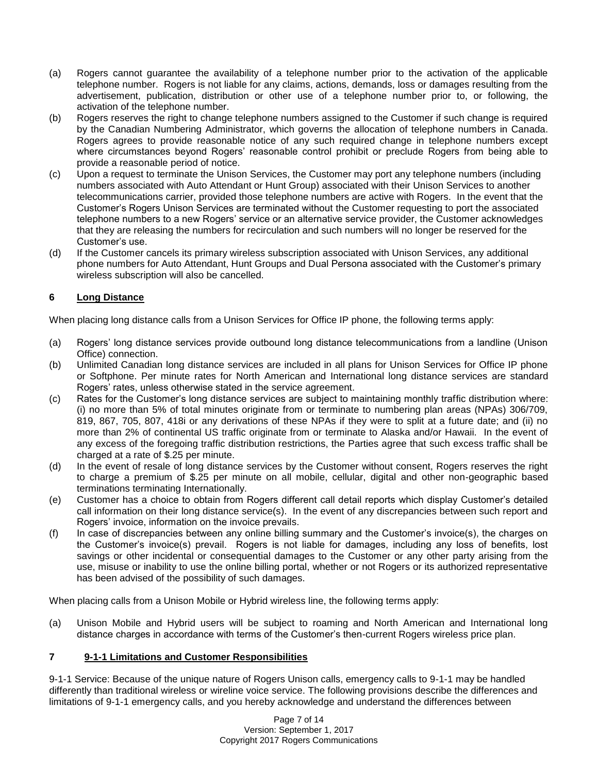- (a) Rogers cannot guarantee the availability of a telephone number prior to the activation of the applicable telephone number. Rogers is not liable for any claims, actions, demands, loss or damages resulting from the advertisement, publication, distribution or other use of a telephone number prior to, or following, the activation of the telephone number.
- (b) Rogers reserves the right to change telephone numbers assigned to the Customer if such change is required by the Canadian Numbering Administrator, which governs the allocation of telephone numbers in Canada. Rogers agrees to provide reasonable notice of any such required change in telephone numbers except where circumstances beyond Rogers' reasonable control prohibit or preclude Rogers from being able to provide a reasonable period of notice.
- (c) Upon a request to terminate the Unison Services, the Customer may port any telephone numbers (including numbers associated with Auto Attendant or Hunt Group) associated with their Unison Services to another telecommunications carrier, provided those telephone numbers are active with Rogers. In the event that the Customer's Rogers Unison Services are terminated without the Customer requesting to port the associated telephone numbers to a new Rogers' service or an alternative service provider, the Customer acknowledges that they are releasing the numbers for recirculation and such numbers will no longer be reserved for the Customer's use.
- (d) If the Customer cancels its primary wireless subscription associated with Unison Services, any additional phone numbers for Auto Attendant, Hunt Groups and Dual Persona associated with the Customer's primary wireless subscription will also be cancelled.

# **6 Long Distance**

When placing long distance calls from a Unison Services for Office IP phone, the following terms apply:

- (a) Rogers' long distance services provide outbound long distance telecommunications from a landline (Unison Office) connection.
- (b) Unlimited Canadian long distance services are included in all plans for Unison Services for Office IP phone or Softphone. Per minute rates for North American and International long distance services are standard Rogers' rates, unless otherwise stated in the service agreement.
- (c) Rates for the Customer's long distance services are subject to maintaining monthly traffic distribution where: (i) no more than 5% of total minutes originate from or terminate to numbering plan areas (NPAs) 306/709, 819, 867, 705, 807, 418i or any derivations of these NPAs if they were to split at a future date; and (ii) no more than 2% of continental US traffic originate from or terminate to Alaska and/or Hawaii. In the event of any excess of the foregoing traffic distribution restrictions, the Parties agree that such excess traffic shall be charged at a rate of \$.25 per minute.
- (d) In the event of resale of long distance services by the Customer without consent, Rogers reserves the right to charge a premium of \$.25 per minute on all mobile, cellular, digital and other non-geographic based terminations terminating Internationally.
- (e) Customer has a choice to obtain from Rogers different call detail reports which display Customer's detailed call information on their long distance service(s). In the event of any discrepancies between such report and Rogers' invoice, information on the invoice prevails.
- (f) In case of discrepancies between any online billing summary and the Customer's invoice(s), the charges on the Customer's invoice(s) prevail. Rogers is not liable for damages, including any loss of benefits, lost savings or other incidental or consequential damages to the Customer or any other party arising from the use, misuse or inability to use the online billing portal, whether or not Rogers or its authorized representative has been advised of the possibility of such damages.

When placing calls from a Unison Mobile or Hybrid wireless line, the following terms apply:

(a) Unison Mobile and Hybrid users will be subject to roaming and North American and International long distance charges in accordance with terms of the Customer's then-current Rogers wireless price plan.

# **7 9-1-1 Limitations and Customer Responsibilities**

9-1-1 Service: Because of the unique nature of Rogers Unison calls, emergency calls to 9-1-1 may be handled differently than traditional wireless or wireline voice service. The following provisions describe the differences and limitations of 9-1-1 emergency calls, and you hereby acknowledge and understand the differences between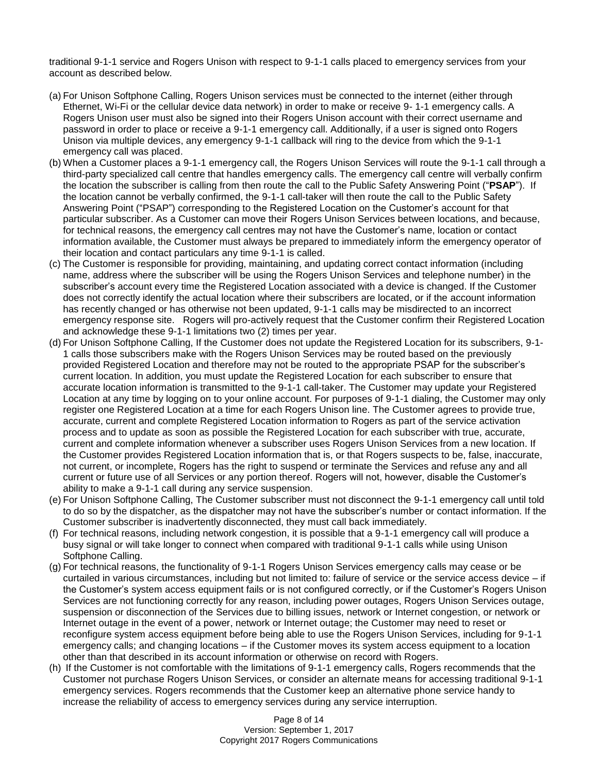traditional 9-1-1 service and Rogers Unison with respect to 9-1-1 calls placed to emergency services from your account as described below.

- (a) For Unison Softphone Calling, Rogers Unison services must be connected to the internet (either through Ethernet, Wi-Fi or the cellular device data network) in order to make or receive 9- 1-1 emergency calls. A Rogers Unison user must also be signed into their Rogers Unison account with their correct username and password in order to place or receive a 9-1-1 emergency call. Additionally, if a user is signed onto Rogers Unison via multiple devices, any emergency 9-1-1 callback will ring to the device from which the 9-1-1 emergency call was placed.
- (b) When a Customer places a 9-1-1 emergency call, the Rogers Unison Services will route the 9-1-1 call through a third-party specialized call centre that handles emergency calls. The emergency call centre will verbally confirm the location the subscriber is calling from then route the call to the Public Safety Answering Point ("**PSAP**"). If the location cannot be verbally confirmed, the 9-1-1 call-taker will then route the call to the Public Safety Answering Point ("PSAP") corresponding to the Registered Location on the Customer's account for that particular subscriber. As a Customer can move their Rogers Unison Services between locations, and because, for technical reasons, the emergency call centres may not have the Customer's name, location or contact information available, the Customer must always be prepared to immediately inform the emergency operator of their location and contact particulars any time 9-1-1 is called.
- (c) The Customer is responsible for providing, maintaining, and updating correct contact information (including name, address where the subscriber will be using the Rogers Unison Services and telephone number) in the subscriber's account every time the Registered Location associated with a device is changed. If the Customer does not correctly identify the actual location where their subscribers are located, or if the account information has recently changed or has otherwise not been updated, 9-1-1 calls may be misdirected to an incorrect emergency response site. Rogers will pro-actively request that the Customer confirm their Registered Location and acknowledge these 9-1-1 limitations two (2) times per year.
- (d) For Unison Softphone Calling, If the Customer does not update the Registered Location for its subscribers, 9-1- 1 calls those subscribers make with the Rogers Unison Services may be routed based on the previously provided Registered Location and therefore may not be routed to the appropriate PSAP for the subscriber's current location. In addition, you must update the Registered Location for each subscriber to ensure that accurate location information is transmitted to the 9-1-1 call-taker. The Customer may update your Registered Location at any time by logging on to your online account. For purposes of 9-1-1 dialing, the Customer may only register one Registered Location at a time for each Rogers Unison line. The Customer agrees to provide true, accurate, current and complete Registered Location information to Rogers as part of the service activation process and to update as soon as possible the Registered Location for each subscriber with true, accurate, current and complete information whenever a subscriber uses Rogers Unison Services from a new location. If the Customer provides Registered Location information that is, or that Rogers suspects to be, false, inaccurate, not current, or incomplete, Rogers has the right to suspend or terminate the Services and refuse any and all current or future use of all Services or any portion thereof. Rogers will not, however, disable the Customer's ability to make a 9-1-1 call during any service suspension.
- (e) For Unison Softphone Calling, The Customer subscriber must not disconnect the 9-1-1 emergency call until told to do so by the dispatcher, as the dispatcher may not have the subscriber's number or contact information. If the Customer subscriber is inadvertently disconnected, they must call back immediately.
- (f) For technical reasons, including network congestion, it is possible that a 9-1-1 emergency call will produce a busy signal or will take longer to connect when compared with traditional 9-1-1 calls while using Unison Softphone Calling.
- (g) For technical reasons, the functionality of 9-1-1 Rogers Unison Services emergency calls may cease or be curtailed in various circumstances, including but not limited to: failure of service or the service access device – if the Customer's system access equipment fails or is not configured correctly, or if the Customer's Rogers Unison Services are not functioning correctly for any reason, including power outages, Rogers Unison Services outage, suspension or disconnection of the Services due to billing issues, network or Internet congestion, or network or Internet outage in the event of a power, network or Internet outage; the Customer may need to reset or reconfigure system access equipment before being able to use the Rogers Unison Services, including for 9-1-1 emergency calls; and changing locations – if the Customer moves its system access equipment to a location other than that described in its account information or otherwise on record with Rogers.
- (h) If the Customer is not comfortable with the limitations of 9-1-1 emergency calls, Rogers recommends that the Customer not purchase Rogers Unison Services, or consider an alternate means for accessing traditional 9-1-1 emergency services. Rogers recommends that the Customer keep an alternative phone service handy to increase the reliability of access to emergency services during any service interruption.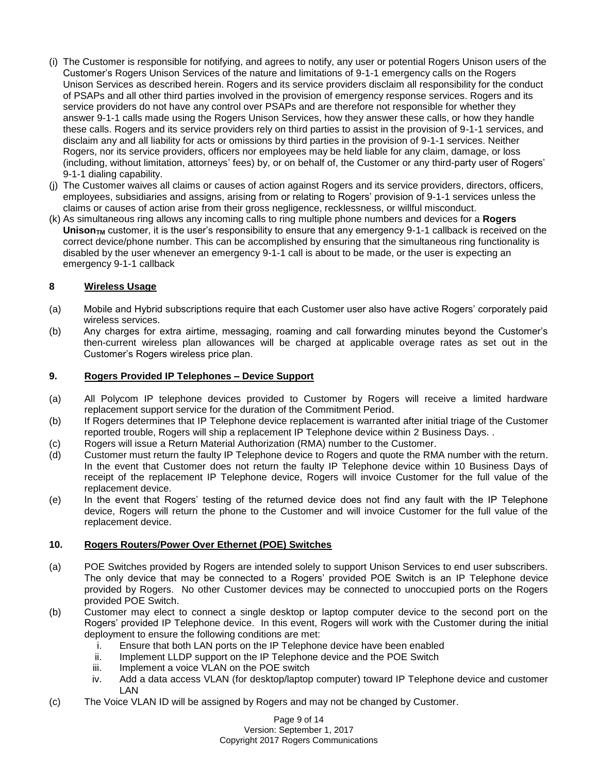- (i) The Customer is responsible for notifying, and agrees to notify, any user or potential Rogers Unison users of the Customer's Rogers Unison Services of the nature and limitations of 9-1-1 emergency calls on the Rogers Unison Services as described herein. Rogers and its service providers disclaim all responsibility for the conduct of PSAPs and all other third parties involved in the provision of emergency response services. Rogers and its service providers do not have any control over PSAPs and are therefore not responsible for whether they answer 9-1-1 calls made using the Rogers Unison Services, how they answer these calls, or how they handle these calls. Rogers and its service providers rely on third parties to assist in the provision of 9-1-1 services, and disclaim any and all liability for acts or omissions by third parties in the provision of 9-1-1 services. Neither Rogers, nor its service providers, officers nor employees may be held liable for any claim, damage, or loss (including, without limitation, attorneys' fees) by, or on behalf of, the Customer or any third-party user of Rogers' 9-1-1 dialing capability.
- (j) The Customer waives all claims or causes of action against Rogers and its service providers, directors, officers, employees, subsidiaries and assigns, arising from or relating to Rogers' provision of 9-1-1 services unless the claims or causes of action arise from their gross negligence, recklessness, or willful misconduct.
- (k) As simultaneous ring allows any incoming calls to ring multiple phone numbers and devices for a **Rogers**  Unison<sub>TM</sub> customer, it is the user's responsibility to ensure that any emergency 9-1-1 callback is received on the correct device/phone number. This can be accomplished by ensuring that the simultaneous ring functionality is disabled by the user whenever an emergency 9-1-1 call is about to be made, or the user is expecting an emergency 9-1-1 callback

# **8 Wireless Usage**

- (a) Mobile and Hybrid subscriptions require that each Customer user also have active Rogers' corporately paid wireless services.
- (b) Any charges for extra airtime, messaging, roaming and call forwarding minutes beyond the Customer's then-current wireless plan allowances will be charged at applicable overage rates as set out in the Customer's Rogers wireless price plan.

## **9. Rogers Provided IP Telephones – Device Support**

- (a) All Polycom IP telephone devices provided to Customer by Rogers will receive a limited hardware replacement support service for the duration of the Commitment Period.
- (b) If Rogers determines that IP Telephone device replacement is warranted after initial triage of the Customer reported trouble, Rogers will ship a replacement IP Telephone device within 2 Business Days. .
- (c) Rogers will issue a Return Material Authorization (RMA) number to the Customer.
- (d) Customer must return the faulty IP Telephone device to Rogers and quote the RMA number with the return. In the event that Customer does not return the faulty IP Telephone device within 10 Business Days of receipt of the replacement IP Telephone device, Rogers will invoice Customer for the full value of the replacement device.
- (e) In the event that Rogers' testing of the returned device does not find any fault with the IP Telephone device, Rogers will return the phone to the Customer and will invoice Customer for the full value of the replacement device.

#### **10. Rogers Routers/Power Over Ethernet (POE) Switches**

- (a) POE Switches provided by Rogers are intended solely to support Unison Services to end user subscribers. The only device that may be connected to a Rogers' provided POE Switch is an IP Telephone device provided by Rogers. No other Customer devices may be connected to unoccupied ports on the Rogers provided POE Switch.
- (b) Customer may elect to connect a single desktop or laptop computer device to the second port on the Rogers' provided IP Telephone device. In this event, Rogers will work with the Customer during the initial deployment to ensure the following conditions are met:
	- i. Ensure that both LAN ports on the IP Telephone device have been enabled
	- ii. Implement LLDP support on the IP Telephone device and the POE Switch
	- iii. Implement a voice VLAN on the POE switch
	- iv. Add a data access VLAN (for desktop/laptop computer) toward IP Telephone device and customer LAN
- (c) The Voice VLAN ID will be assigned by Rogers and may not be changed by Customer.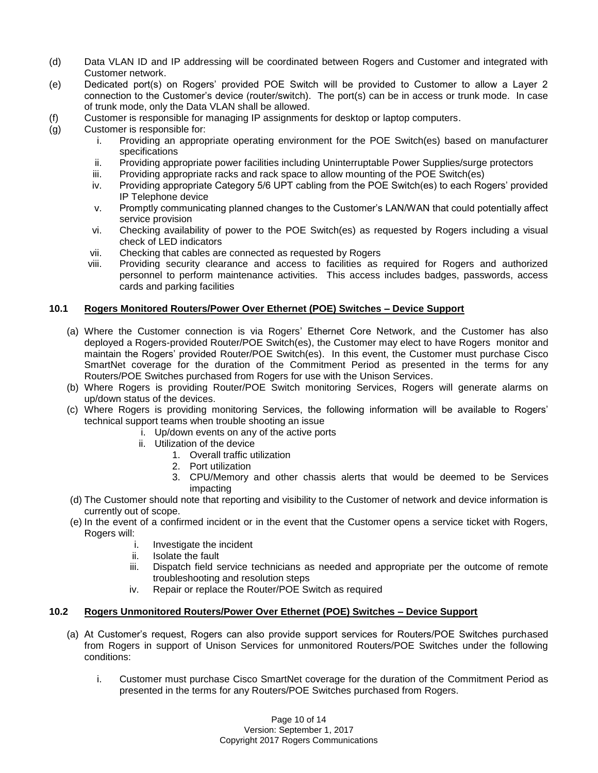- (d) Data VLAN ID and IP addressing will be coordinated between Rogers and Customer and integrated with Customer network.
- (e) Dedicated port(s) on Rogers' provided POE Switch will be provided to Customer to allow a Layer 2 connection to the Customer's device (router/switch). The port(s) can be in access or trunk mode. In case of trunk mode, only the Data VLAN shall be allowed.
- (f) Customer is responsible for managing IP assignments for desktop or laptop computers.
- (g) Customer is responsible for:
	- i. Providing an appropriate operating environment for the POE Switch(es) based on manufacturer specifications
	- ii. Providing appropriate power facilities including Uninterruptable Power Supplies/surge protectors
	- iii. Providing appropriate racks and rack space to allow mounting of the POE Switch(es)
	- iv. Providing appropriate Category 5/6 UPT cabling from the POE Switch(es) to each Rogers' provided IP Telephone device
	- v. Promptly communicating planned changes to the Customer's LAN/WAN that could potentially affect service provision
	- vi. Checking availability of power to the POE Switch(es) as requested by Rogers including a visual check of LED indicators
	- vii. Checking that cables are connected as requested by Rogers
	- viii. Providing security clearance and access to facilities as required for Rogers and authorized personnel to perform maintenance activities. This access includes badges, passwords, access cards and parking facilities

## **10.1 Rogers Monitored Routers/Power Over Ethernet (POE) Switches – Device Support**

- (a) Where the Customer connection is via Rogers' Ethernet Core Network, and the Customer has also deployed a Rogers-provided Router/POE Switch(es), the Customer may elect to have Rogers monitor and maintain the Rogers' provided Router/POE Switch(es). In this event, the Customer must purchase Cisco SmartNet coverage for the duration of the Commitment Period as presented in the terms for any Routers/POE Switches purchased from Rogers for use with the Unison Services.
- (b) Where Rogers is providing Router/POE Switch monitoring Services, Rogers will generate alarms on up/down status of the devices.
- (c) Where Rogers is providing monitoring Services, the following information will be available to Rogers' technical support teams when trouble shooting an issue
	- i. Up/down events on any of the active ports
		- ii. Utilization of the device
			- 1. Overall traffic utilization
			- 2. Port utilization
			- 3. CPU/Memory and other chassis alerts that would be deemed to be Services impacting
- (d) The Customer should note that reporting and visibility to the Customer of network and device information is currently out of scope.
- (e) In the event of a confirmed incident or in the event that the Customer opens a service ticket with Rogers, Rogers will:
	- i. Investigate the incident
	- ii. Isolate the fault
	- iii. Dispatch field service technicians as needed and appropriate per the outcome of remote troubleshooting and resolution steps
	- iv. Repair or replace the Router/POE Switch as required

# **10.2 Rogers Unmonitored Routers/Power Over Ethernet (POE) Switches – Device Support**

- (a) At Customer's request, Rogers can also provide support services for Routers/POE Switches purchased from Rogers in support of Unison Services for unmonitored Routers/POE Switches under the following conditions:
	- i. Customer must purchase Cisco SmartNet coverage for the duration of the Commitment Period as presented in the terms for any Routers/POE Switches purchased from Rogers.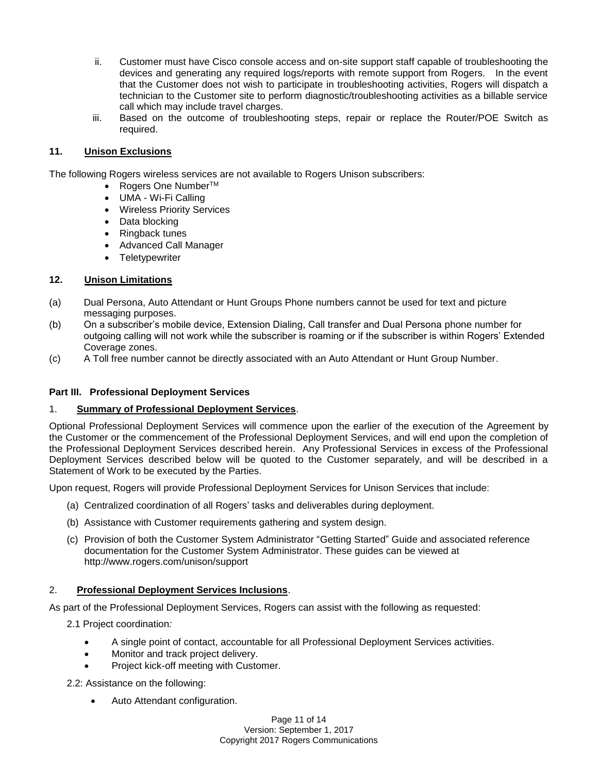- ii. Customer must have Cisco console access and on-site support staff capable of troubleshooting the devices and generating any required logs/reports with remote support from Rogers. In the event that the Customer does not wish to participate in troubleshooting activities, Rogers will dispatch a technician to the Customer site to perform diagnostic/troubleshooting activities as a billable service call which may include travel charges.
- iii. Based on the outcome of troubleshooting steps, repair or replace the Router/POE Switch as required.

## **11. Unison Exclusions**

The following Rogers wireless services are not available to Rogers Unison subscribers:

- Rogers One Number<sup>TM</sup>
- UMA Wi-Fi Calling
- Wireless Priority Services
- Data blocking
- Ringback tunes
- Advanced Call Manager
- Teletypewriter

## **12. Unison Limitations**

- (a) Dual Persona, Auto Attendant or Hunt Groups Phone numbers cannot be used for text and picture messaging purposes.
- (b) On a subscriber's mobile device, Extension Dialing, Call transfer and Dual Persona phone number for outgoing calling will not work while the subscriber is roaming or if the subscriber is within Rogers' Extended Coverage zones.
- (c) A Toll free number cannot be directly associated with an Auto Attendant or Hunt Group Number.

#### **Part III. Professional Deployment Services**

#### 1. **Summary of Professional Deployment Services**.

Optional Professional Deployment Services will commence upon the earlier of the execution of the Agreement by the Customer or the commencement of the Professional Deployment Services, and will end upon the completion of the Professional Deployment Services described herein. Any Professional Services in excess of the Professional Deployment Services described below will be quoted to the Customer separately, and will be described in a Statement of Work to be executed by the Parties.

Upon request, Rogers will provide Professional Deployment Services for Unison Services that include:

- (a) Centralized coordination of all Rogers' tasks and deliverables during deployment.
- (b) Assistance with Customer requirements gathering and system design.
- (c) Provision of both the Customer System Administrator "Getting Started" Guide and associated reference documentation for the Customer System Administrator. These guides can be viewed at http://www.rogers.com/unison/support

# 2. **Professional Deployment Services Inclusions**.

As part of the Professional Deployment Services, Rogers can assist with the following as requested:

- 2.1 Project coordination*:*
	- A single point of contact, accountable for all Professional Deployment Services activities.
	- Monitor and track project delivery.
	- Project kick-off meeting with Customer.

2.2: Assistance on the following:

• Auto Attendant configuration.

Page 11 of 14 Version: September 1, 2017 Copyright 2017 Rogers Communications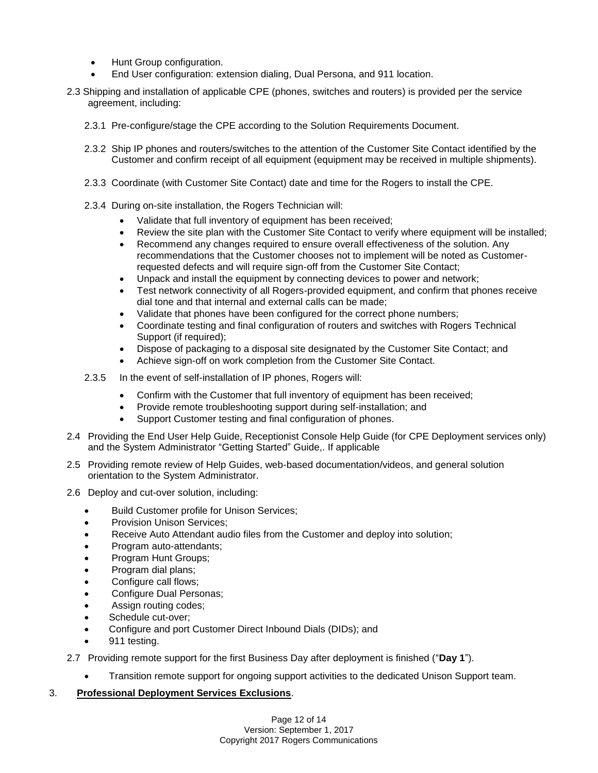- Hunt Group configuration.
- End User configuration: extension dialing, Dual Persona, and 911 location.
- 2.3 Shipping and installation of applicable CPE (phones, switches and routers) is provided per the service agreement, including:
	- 2.3.1 Pre-configure/stage the CPE according to the Solution Requirements Document.
	- 2.3.2 Ship IP phones and routers/switches to the attention of the Customer Site Contact identified by the Customer and confirm receipt of all equipment (equipment may be received in multiple shipments).
	- 2.3.3 Coordinate (with Customer Site Contact) date and time for the Rogers to install the CPE.
	- 2.3.4 During on-site installation, the Rogers Technician will:
		- Validate that full inventory of equipment has been received;
		- Review the site plan with the Customer Site Contact to verify where equipment will be installed:
		- Recommend any changes required to ensure overall effectiveness of the solution. Any recommendations that the Customer chooses not to implement will be noted as Customerrequested defects and will require sign-off from the Customer Site Contact;
		- Unpack and install the equipment by connecting devices to power and network;
		- Test network connectivity of all Rogers-provided equipment, and confirm that phones receive dial tone and that internal and external calls can be made;
		- Validate that phones have been configured for the correct phone numbers;
		- Coordinate testing and final configuration of routers and switches with Rogers Technical Support (if required);
		- Dispose of packaging to a disposal site designated by the Customer Site Contact; and
		- Achieve sign-off on work completion from the Customer Site Contact.
	- 2.3.5 In the event of self-installation of IP phones, Rogers will:
		- Confirm with the Customer that full inventory of equipment has been received;
		- Provide remote troubleshooting support during self-installation; and
		- Support Customer testing and final configuration of phones.
- 2.4 Providing the End User Help Guide, Receptionist Console Help Guide (for CPE Deployment services only) and the System Administrator "Getting Started" Guide,. If applicable
- 2.5 Providing remote review of Help Guides, web-based documentation/videos, and general solution orientation to the System Administrator.
- 2.6 Deploy and cut-over solution, including:
	- Build Customer profile for Unison Services;
	- Provision Unison Services;
	- Receive Auto Attendant audio files from the Customer and deploy into solution;
	- Program auto-attendants;
	- Program Hunt Groups;
	- Program dial plans;
	- Configure call flows;
	- Configure Dual Personas;
	- Assign routing codes;
	- Schedule cut-over;
	- Configure and port Customer Direct Inbound Dials (DIDs); and
	- 911 testing.
- 2.7 Providing remote support for the first Business Day after deployment is finished ("**Day 1**").
	- Transition remote support for ongoing support activities to the dedicated Unison Support team.

## 3. **Professional Deployment Services Exclusions**.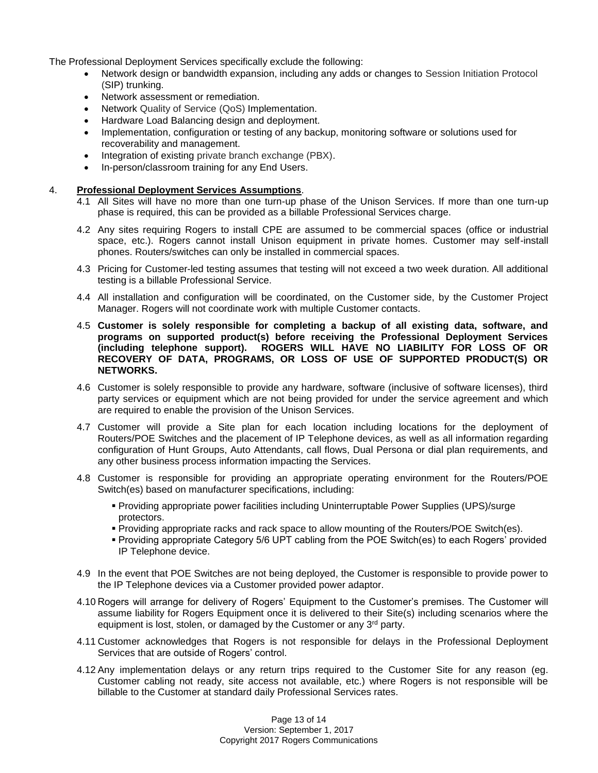The Professional Deployment Services specifically exclude the following:

- Network design or bandwidth expansion, including any adds or changes to Session Initiation Protocol (SIP) trunking.
- Network assessment or remediation.
- Network Quality of Service (QoS) Implementation.
- Hardware Load Balancing design and deployment.
- Implementation, configuration or testing of any backup, monitoring software or solutions used for recoverability and management.
- Integration of existing private branch exchange (PBX).
- In-person/classroom training for any End Users.

## 4. **Professional Deployment Services Assumptions**.

- 4.1 All Sites will have no more than one turn-up phase of the Unison Services. If more than one turn-up phase is required, this can be provided as a billable Professional Services charge.
- 4.2 Any sites requiring Rogers to install CPE are assumed to be commercial spaces (office or industrial space, etc.). Rogers cannot install Unison equipment in private homes. Customer may self-install phones. Routers/switches can only be installed in commercial spaces.
- 4.3 Pricing for Customer-led testing assumes that testing will not exceed a two week duration. All additional testing is a billable Professional Service.
- 4.4 All installation and configuration will be coordinated, on the Customer side, by the Customer Project Manager. Rogers will not coordinate work with multiple Customer contacts.
- 4.5 **Customer is solely responsible for completing a backup of all existing data, software, and programs on supported product(s) before receiving the Professional Deployment Services (including telephone support). ROGERS WILL HAVE NO LIABILITY FOR LOSS OF OR RECOVERY OF DATA, PROGRAMS, OR LOSS OF USE OF SUPPORTED PRODUCT(S) OR NETWORKS.**
- 4.6 Customer is solely responsible to provide any hardware, software (inclusive of software licenses), third party services or equipment which are not being provided for under the service agreement and which are required to enable the provision of the Unison Services.
- 4.7 Customer will provide a Site plan for each location including locations for the deployment of Routers/POE Switches and the placement of IP Telephone devices, as well as all information regarding configuration of Hunt Groups, Auto Attendants, call flows, Dual Persona or dial plan requirements, and any other business process information impacting the Services.
- 4.8 Customer is responsible for providing an appropriate operating environment for the Routers/POE Switch(es) based on manufacturer specifications, including:
	- Providing appropriate power facilities including Uninterruptable Power Supplies (UPS)/surge protectors.
	- Providing appropriate racks and rack space to allow mounting of the Routers/POE Switch(es).
	- Providing appropriate Category 5/6 UPT cabling from the POE Switch(es) to each Rogers' provided IP Telephone device.
- 4.9 In the event that POE Switches are not being deployed, the Customer is responsible to provide power to the IP Telephone devices via a Customer provided power adaptor.
- 4.10 Rogers will arrange for delivery of Rogers' Equipment to the Customer's premises. The Customer will assume liability for Rogers Equipment once it is delivered to their Site(s) including scenarios where the equipment is lost, stolen, or damaged by the Customer or any 3<sup>rd</sup> party.
- 4.11 Customer acknowledges that Rogers is not responsible for delays in the Professional Deployment Services that are outside of Rogers' control.
- 4.12 Any implementation delays or any return trips required to the Customer Site for any reason (eg. Customer cabling not ready, site access not available, etc.) where Rogers is not responsible will be billable to the Customer at standard daily Professional Services rates.